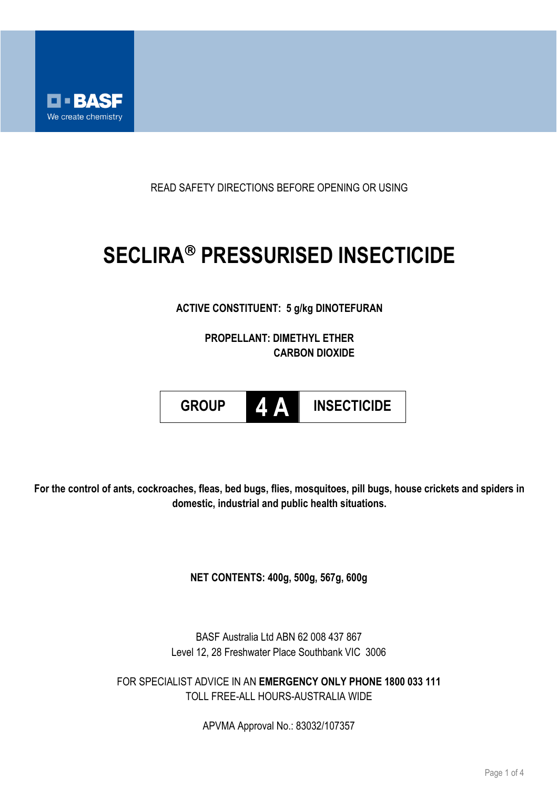

READ SAFETY DIRECTIONS BEFORE OPENING OR USING

# **SECLIRA PRESSURISED INSECTICIDE**

## **ACTIVE CONSTITUENT: 5 g/kg DINOTEFURAN**

**PROPELLANT: DIMETHYL ETHER CARBON DIOXIDE**



**For the control of ants, cockroaches, fleas, bed bugs, flies, mosquitoes, pill bugs, house crickets and spiders in domestic, industrial and public health situations.**

**NET CONTENTS: 400g, 500g, 567g, 600g** 

BASF Australia Ltd ABN 62 008 437 867 Level 12, 28 Freshwater Place Southbank VIC 3006

FOR SPECIALIST ADVICE IN AN **EMERGENCY ONLY PHONE 1800 033 111** TOLL FREE-ALL HOURS-AUSTRALIA WIDE

APVMA Approval No.: 83032/107357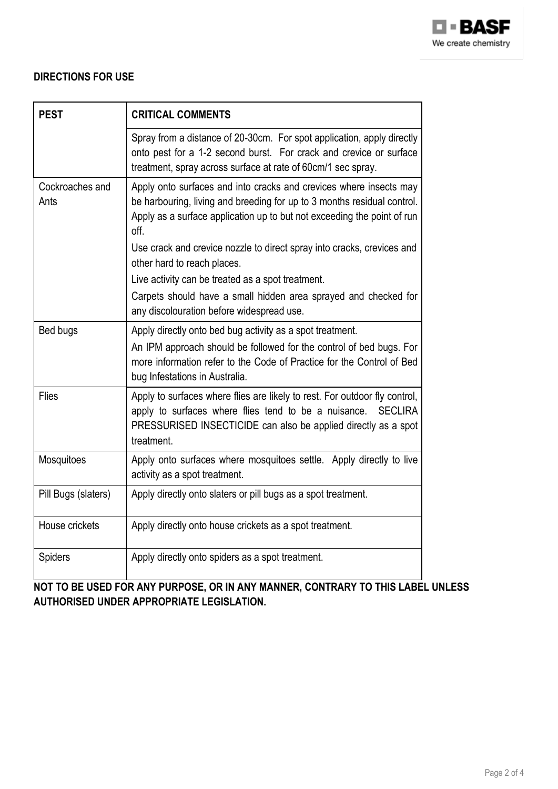

## **DIRECTIONS FOR USE**

| <b>PEST</b>             | <b>CRITICAL COMMENTS</b>                                                                                                                                                                                                                    |
|-------------------------|---------------------------------------------------------------------------------------------------------------------------------------------------------------------------------------------------------------------------------------------|
|                         | Spray from a distance of 20-30cm. For spot application, apply directly<br>onto pest for a 1-2 second burst. For crack and crevice or surface<br>treatment, spray across surface at rate of 60cm/1 sec spray.                                |
| Cockroaches and<br>Ants | Apply onto surfaces and into cracks and crevices where insects may<br>be harbouring, living and breeding for up to 3 months residual control.<br>Apply as a surface application up to but not exceeding the point of run<br>off.            |
|                         | Use crack and crevice nozzle to direct spray into cracks, crevices and<br>other hard to reach places.                                                                                                                                       |
|                         | Live activity can be treated as a spot treatment.<br>Carpets should have a small hidden area sprayed and checked for<br>any discolouration before widespread use.                                                                           |
| Bed bugs                | Apply directly onto bed bug activity as a spot treatment.<br>An IPM approach should be followed for the control of bed bugs. For<br>more information refer to the Code of Practice for the Control of Bed<br>bug Infestations in Australia. |
| <b>Flies</b>            | Apply to surfaces where flies are likely to rest. For outdoor fly control,<br>apply to surfaces where flies tend to be a nuisance.<br><b>SECLIRA</b><br>PRESSURISED INSECTICIDE can also be applied directly as a spot<br>treatment.        |
| Mosquitoes              | Apply onto surfaces where mosquitoes settle. Apply directly to live<br>activity as a spot treatment.                                                                                                                                        |
| Pill Bugs (slaters)     | Apply directly onto slaters or pill bugs as a spot treatment.                                                                                                                                                                               |
| House crickets          | Apply directly onto house crickets as a spot treatment.                                                                                                                                                                                     |
| <b>Spiders</b>          | Apply directly onto spiders as a spot treatment.                                                                                                                                                                                            |

**NOT TO BE USED FOR ANY PURPOSE, OR IN ANY MANNER, CONTRARY TO THIS LABEL UNLESS AUTHORISED UNDER APPROPRIATE LEGISLATION.**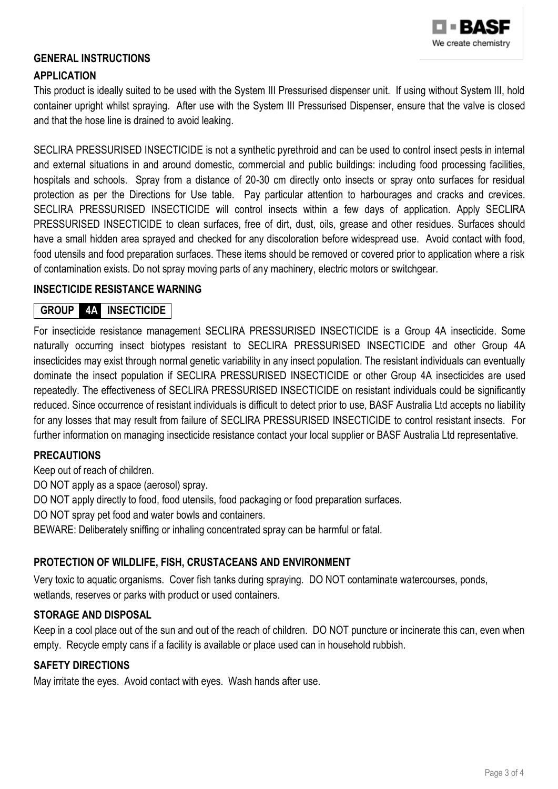

## **GENERAL INSTRUCTIONS**

#### **APPLICATION**

This product is ideally suited to be used with the System III Pressurised dispenser unit. If using without System III, hold container upright whilst spraying. After use with the System III Pressurised Dispenser, ensure that the valve is closed and that the hose line is drained to avoid leaking.

SECLIRA PRESSURISED INSECTICIDE is not a synthetic pyrethroid and can be used to control insect pests in internal and external situations in and around domestic, commercial and public buildings: including food processing facilities, hospitals and schools. Spray from a distance of 20-30 cm directly onto insects or spray onto surfaces for residual protection as per the Directions for Use table. Pay particular attention to harbourages and cracks and crevices. SECLIRA PRESSURISED INSECTICIDE will control insects within a few days of application. Apply SECLIRA PRESSURISED INSECTICIDE to clean surfaces, free of dirt, dust, oils, grease and other residues. Surfaces should have a small hidden area sprayed and checked for any discoloration before widespread use. Avoid contact with food, food utensils and food preparation surfaces. These items should be removed or covered prior to application where a risk of contamination exists. Do not spray moving parts of any machinery, electric motors or switchgear.

#### **INSECTICIDE RESISTANCE WARNING**

## **GROUP 4A INSECTICIDE**

For insecticide resistance management SECLIRA PRESSURISED INSECTICIDE is a Group 4A insecticide. Some naturally occurring insect biotypes resistant to SECLIRA PRESSURISED INSECTICIDE and other Group 4A insecticides may exist through normal genetic variability in any insect population. The resistant individuals can eventually dominate the insect population if SECLIRA PRESSURISED INSECTICIDE or other Group 4A insecticides are used repeatedly. The effectiveness of SECLIRA PRESSURISED INSECTICIDE on resistant individuals could be significantly reduced. Since occurrence of resistant individuals is difficult to detect prior to use, BASF Australia Ltd accepts no liability for any losses that may result from failure of SECLIRA PRESSURISED INSECTICIDE to control resistant insects. For further information on managing insecticide resistance contact your local supplier or BASF Australia Ltd representative.

#### **PRECAUTIONS**

Keep out of reach of children.

DO NOT apply as a space (aerosol) spray.

DO NOT apply directly to food, food utensils, food packaging or food preparation surfaces.

DO NOT spray pet food and water bowls and containers.

BEWARE: Deliberately sniffing or inhaling concentrated spray can be harmful or fatal.

#### **PROTECTION OF WILDLIFE, FISH, CRUSTACEANS AND ENVIRONMENT**

Very toxic to aquatic organisms. Cover fish tanks during spraying. DO NOT contaminate watercourses, ponds, wetlands, reserves or parks with product or used containers.

## **STORAGE AND DISPOSAL**

Keep in a cool place out of the sun and out of the reach of children. DO NOT puncture or incinerate this can, even when empty. Recycle empty cans if a facility is available or place used can in household rubbish.

## **SAFETY DIRECTIONS**

May irritate the eyes. Avoid contact with eyes. Wash hands after use.